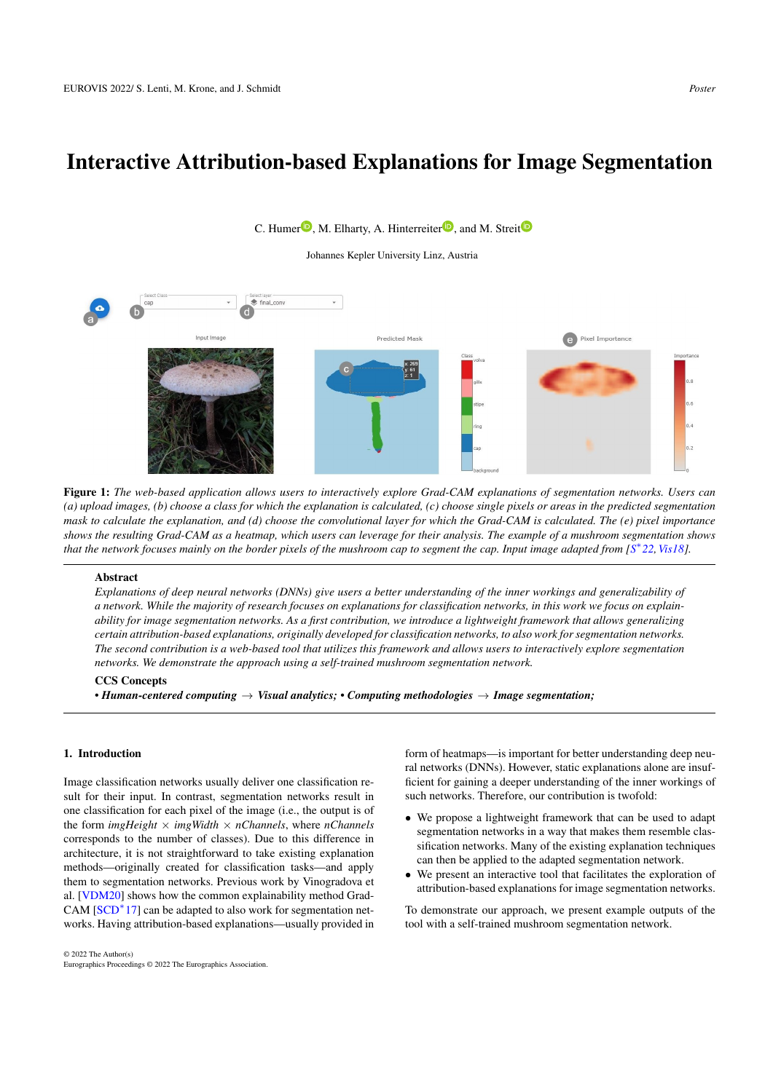# <span id="page-0-1"></span>Interactive Attribution-based Explanations for Image Segmentation

# final\_con  $\checkmark$ Input Image Predicted Mask Pixel Importance

<span id="page-0-0"></span>Figure 1: *The web-based application allows users to interactively explore Grad-CAM explanations of segmentation networks. Users can (a) upload images, (b) choose a class for which the explanation is calculated, (c) choose single pixels or areas in the predicted segmentation mask to calculate the explanation, and (d) choose the convolutional layer for which the Grad-CAM is calculated. The (e) pixel importance shows the resulting Grad-CAM as a heatmap, which users can leverage for their analysis. The example of a mushroom segmentation shows that the network focuses mainly on the border pixels of the mushroom cap to segment the cap. Input image adapted from [S* ∗ *[22,](#page-2-0)[Vis18\]](#page-2-1).*

# Abstract

*Explanations of deep neural networks (DNNs) give users a better understanding of the inner workings and generalizability of a network. While the majority of research focuses on explanations for classification networks, in this work we focus on explainability for image segmentation networks. As a first contribution, we introduce a lightweight framework that allows generalizing certain attribution-based explanations, originally developed for classification networks, to also work for segmentation networks. The second contribution is a web-based tool that utilizes this framework and allows users to interactively explore segmentation networks. We demonstrate the approach using a self-trained mushroom segmentation network.*

# CCS Concepts

*• Human-centered computing* → *Visual analytics; • Computing methodologies* → *Image segmentation;*

# 1. Introduction

Image classification networks usually deliver one classification result for their input. In contrast, segmentation networks result in one classification for each pixel of the image (i.e., the output is of the form *imgHeight*  $\times$  *imgWidth*  $\times$  *nChannels*, where *nChannels* corresponds to the number of classes). Due to this difference in architecture, it is not straightforward to take existing explanation methods—originally created for classification tasks—and apply them to segmentation networks. Previous work by Vinogradova et al. [\[VDM20\]](#page-2-2) shows how the common explainability method Grad-CAM  $[SCD^*17]$  $[SCD^*17]$  can be adapted to also work for segmentation networks. Having attribution-based explanations—usually provided in

© 2022 The Author(s) Eurographics Proceedings © 2022 The Eurographics Association. form of heatmaps—is important for better understanding deep neural networks (DNNs). However, static explanations alone are insufficient for gaining a deeper understanding of the inner workings of such networks. Therefore, our contribution is twofold:

- We propose a lightweight framework that can be used to adapt segmentation networks in a way that makes them resemble classification networks. Many of the existing explanation techniques can then be applied to the adapted segmentation network.
- We present an interactive tool that facilitates the exploration of attribution-based explanations for image segmentation networks.

To demonstrate our approach, we present example outputs of the tool with a self-trained mushroom segmentation network.

C. Humer $\mathbf{D}$  $\mathbf{D}$  $\mathbf{D}$ [,](https://orcid.org/0000-0003-4101-5180) M. Elharty, A. Hinterreiter $\mathbf{D}$ , and M. Streit $\mathbf{D}$ 

Johannes Kepler University Linz, Austria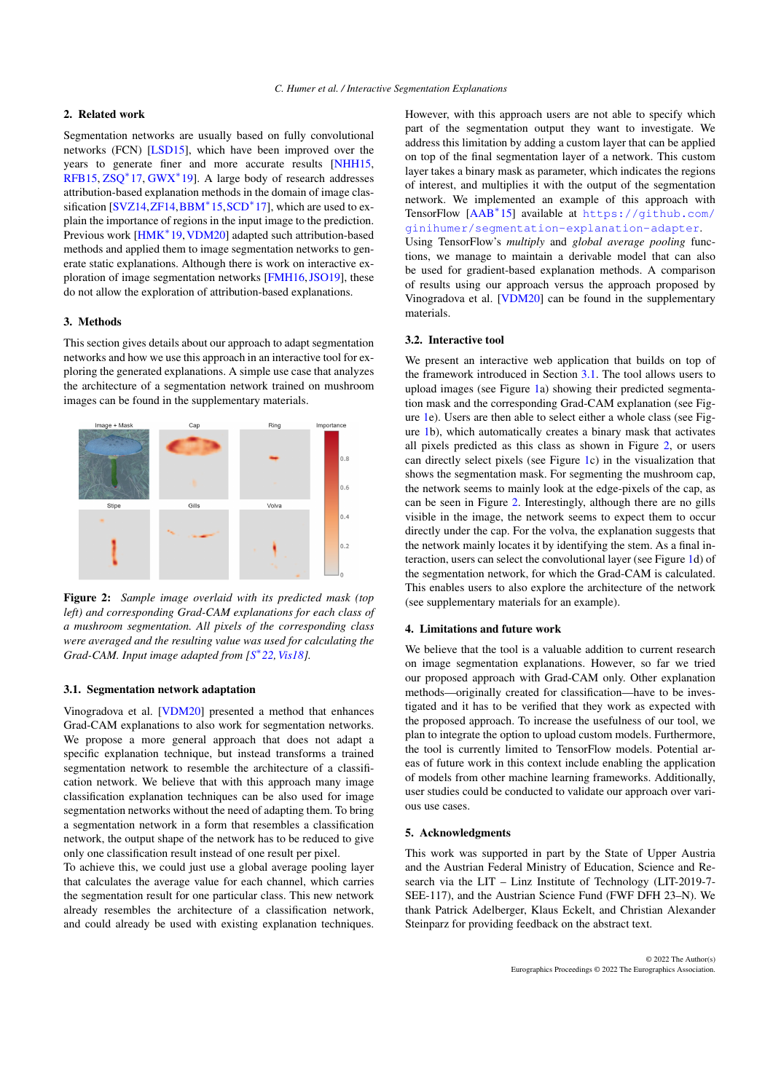# <span id="page-1-2"></span>2. Related work

Segmentation networks are usually based on fully convolutional networks (FCN) [\[LSD15\]](#page-2-4), which have been improved over the years to generate finer and more accurate results [\[NHH15,](#page-2-5) [RFB15,](#page-2-6) [ZSQ](#page-2-7)<sup>\*</sup>17, [GWX](#page-2-8)<sup>\*</sup>19]. A large body of research addresses attribution-based explanation methods in the domain of image clas-sification [\[SVZ14,](#page-2-9)[ZF14,](#page-2-10)[BBM](#page-2-11)<sup>\*</sup>15,[SCD](#page-2-3)<sup>\*</sup>17], which are used to explain the importance of regions in the input image to the prediction. Previous work [\[HMK](#page-2-12)<sup>∗</sup> 19,[VDM20\]](#page-2-2) adapted such attribution-based methods and applied them to image segmentation networks to generate static explanations. Although there is work on interactive exploration of image segmentation networks [\[FMH16,](#page-2-13)[JSO19\]](#page-2-14), these do not allow the exploration of attribution-based explanations.

#### 3. Methods

This section gives details about our approach to adapt segmentation networks and how we use this approach in an interactive tool for exploring the generated explanations. A simple use case that analyzes the architecture of a segmentation network trained on mushroom images can be found in the supplementary materials.



<span id="page-1-1"></span>Figure 2: *Sample image overlaid with its predicted mask (top left) and corresponding Grad-CAM explanations for each class of a mushroom segmentation. All pixels of the corresponding class were averaged and the resulting value was used for calculating the Grad-CAM. Input image adapted from [S* ∗ *[22,](#page-2-0)[Vis18\]](#page-2-1).*

# <span id="page-1-0"></span>3.1. Segmentation network adaptation

Vinogradova et al. [\[VDM20\]](#page-2-2) presented a method that enhances Grad-CAM explanations to also work for segmentation networks. We propose a more general approach that does not adapt a specific explanation technique, but instead transforms a trained segmentation network to resemble the architecture of a classification network. We believe that with this approach many image classification explanation techniques can be also used for image segmentation networks without the need of adapting them. To bring a segmentation network in a form that resembles a classification network, the output shape of the network has to be reduced to give only one classification result instead of one result per pixel.

To achieve this, we could just use a global average pooling layer that calculates the average value for each channel, which carries the segmentation result for one particular class. This new network already resembles the architecture of a classification network, and could already be used with existing explanation techniques.

However, with this approach users are not able to specify which part of the segmentation output they want to investigate. We address this limitation by adding a custom layer that can be applied on top of the final segmentation layer of a network. This custom layer takes a binary mask as parameter, which indicates the regions of interest, and multiplies it with the output of the segmentation network. We implemented an example of this approach with TensorFlow [\[AAB](#page-2-15)<sup>∗</sup> 15] available at [https://github.com/](https://github.com/ginihumer/segmentation-explanation-adapter) [ginihumer/segmentation-explanation-adapter](https://github.com/ginihumer/segmentation-explanation-adapter). Using TensorFlow's *multiply* and *global average pooling* functions, we manage to maintain a derivable model that can also be used for gradient-based explanation methods. A comparison of results using our approach versus the approach proposed by Vinogradova et al. [\[VDM20\]](#page-2-2) can be found in the supplementary materials.

#### 3.2. Interactive tool

We present an interactive web application that builds on top of the framework introduced in Section [3.1.](#page-1-0) The tool allows users to upload images (see Figure [1a](#page-0-0)) showing their predicted segmentation mask and the corresponding Grad-CAM explanation (see Figure [1e](#page-0-0)). Users are then able to select either a whole class (see Figure [1b](#page-0-0)), which automatically creates a binary mask that activates all pixels predicted as this class as shown in Figure [2,](#page-1-1) or users can directly select pixels (see Figure [1c](#page-0-0)) in the visualization that shows the segmentation mask. For segmenting the mushroom cap, the network seems to mainly look at the edge-pixels of the cap, as can be seen in Figure [2.](#page-1-1) Interestingly, although there are no gills visible in the image, the network seems to expect them to occur directly under the cap. For the volva, the explanation suggests that the network mainly locates it by identifying the stem. As a final interaction, users can select the convolutional layer (see Figure [1d](#page-0-0)) of the segmentation network, for which the Grad-CAM is calculated. This enables users to also explore the architecture of the network (see supplementary materials for an example).

#### 4. Limitations and future work

We believe that the tool is a valuable addition to current research on image segmentation explanations. However, so far we tried our proposed approach with Grad-CAM only. Other explanation methods—originally created for classification—have to be investigated and it has to be verified that they work as expected with the proposed approach. To increase the usefulness of our tool, we plan to integrate the option to upload custom models. Furthermore, the tool is currently limited to TensorFlow models. Potential areas of future work in this context include enabling the application of models from other machine learning frameworks. Additionally, user studies could be conducted to validate our approach over various use cases.

#### 5. Acknowledgments

This work was supported in part by the State of Upper Austria and the Austrian Federal Ministry of Education, Science and Research via the LIT – Linz Institute of Technology (LIT-2019-7- SEE-117), and the Austrian Science Fund (FWF DFH 23–N). We thank Patrick Adelberger, Klaus Eckelt, and Christian Alexander Steinparz for providing feedback on the abstract text.